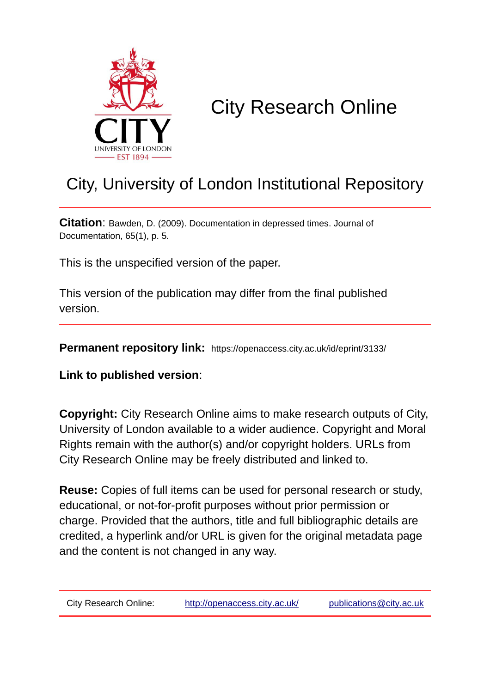

## City Research Online

## City, University of London Institutional Repository

**Citation**: Bawden, D. (2009). Documentation in depressed times. Journal of Documentation, 65(1), p. 5.

This is the unspecified version of the paper.

This version of the publication may differ from the final published version.

**Permanent repository link:** https://openaccess.city.ac.uk/id/eprint/3133/

**Link to published version**:

**Copyright:** City Research Online aims to make research outputs of City, University of London available to a wider audience. Copyright and Moral Rights remain with the author(s) and/or copyright holders. URLs from City Research Online may be freely distributed and linked to.

**Reuse:** Copies of full items can be used for personal research or study, educational, or not-for-profit purposes without prior permission or charge. Provided that the authors, title and full bibliographic details are credited, a hyperlink and/or URL is given for the original metadata page and the content is not changed in any way.